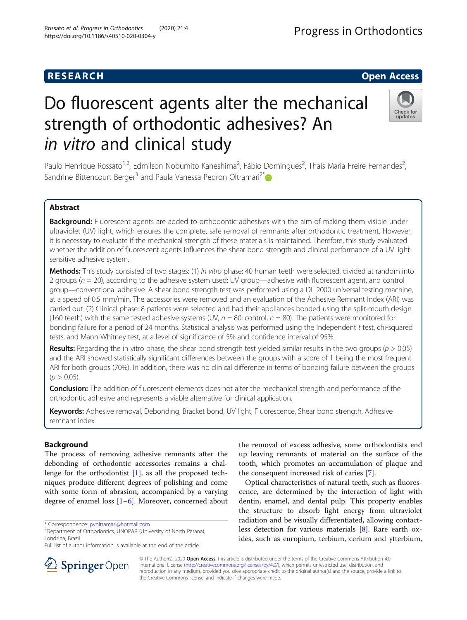## **RESEARCH CHILD CONTROL** CONTROL CONTROL CONTROL CONTROL CONTROL CONTROL CONTROL CONTROL CONTROL CONTROL CONTROL

# Do fluorescent agents alter the mechanical strength of orthodontic adhesives? An in vitro and clinical study

Paulo Henrique Rossato<sup>1,2</sup>, Edmilson Nobumito Kaneshima<sup>2</sup>, Fábio Domingues<sup>2</sup>, Thais Maria Freire Fernandes<sup>2</sup> , Sandrine Bittencourt Berger<sup>3</sup> and Paula Vanessa Pedron Oltramari<sup>2\*</sup>

## Abstract

Background: Fluorescent agents are added to orthodontic adhesives with the aim of making them visible under ultraviolet (UV) light, which ensures the complete, safe removal of remnants after orthodontic treatment. However, it is necessary to evaluate if the mechanical strength of these materials is maintained. Therefore, this study evaluated whether the addition of fluorescent agents influences the shear bond strength and clinical performance of a UV lightsensitive adhesive system.

Methods: This study consisted of two stages: (1) In vitro phase: 40 human teeth were selected, divided at random into 2 groups ( $n = 20$ ), according to the adhesive system used: UV group—adhesive with fluorescent agent, and control group—conventional adhesive. A shear bond strength test was performed using a DL 2000 universal testing machine, at a speed of 0.5 mm/min. The accessories were removed and an evaluation of the Adhesive Remnant Index (ARI) was carried out. (2) Clinical phase: 8 patients were selected and had their appliances bonded using the split-mouth design (160 teeth) with the same tested adhesive systems (UV,  $n = 80$ ; control,  $n = 80$ ). The patients were monitored for bonding failure for a period of 24 months. Statistical analysis was performed using the Independent t test, chi-squared tests, and Mann-Whitney test, at a level of significance of 5% and confidence interval of 95%.

**Results:** Regarding the in vitro phase, the shear bond strength test yielded similar results in the two groups ( $p > 0.05$ ) and the ARI showed statistically significant differences between the groups with a score of 1 being the most frequent ARI for both groups (70%). In addition, there was no clinical difference in terms of bonding failure between the groups  $(p > 0.05)$ .

Conclusion: The addition of fluorescent elements does not alter the mechanical strength and performance of the orthodontic adhesive and represents a viable alternative for clinical application.

Keywords: Adhesive removal, Debonding, Bracket bond, UV light, Fluorescence, Shear bond strength, Adhesive remnant index

## Background

The process of removing adhesive remnants after the debonding of orthodontic accessories remains a challenge for the orthodontist  $[1]$  $[1]$ , as all the proposed techniques produce different degrees of polishing and come with some form of abrasion, accompanied by a varying degree of enamel loss [\[1](#page-4-0)–[6\]](#page-5-0). Moreover, concerned about

\* Correspondence: [pvoltramari@hotmail.com](mailto:pvoltramari@hotmail.com) <sup>2</sup>

<sup>2</sup>Department of Orthodontics, UNOPAR (University of North Parana), Londrina, Brazil

the removal of excess adhesive, some orthodontists end up leaving remnants of material on the surface of the tooth, which promotes an accumulation of plaque and the consequent increased risk of caries [\[7](#page-5-0)].

Optical characteristics of natural teeth, such as fluorescence, are determined by the interaction of light with dentin, enamel, and dental pulp. This property enables the structure to absorb light energy from ultraviolet radiation and be visually differentiated, allowing contactless detection for various materials [\[8](#page-5-0)]. Rare earth oxides, such as europium, terbium, cerium and ytterbium,

© The Author(s). 2020 Open Access This article is distributed under the terms of the Creative Commons Attribution 4.0 International License ([http://creativecommons.org/licenses/by/4.0/\)](http://creativecommons.org/licenses/by/4.0/), which permits unrestricted use, distribution, and reproduction in any medium, provided you give appropriate credit to the original author(s) and the source, provide a link to the Creative Commons license, and indicate if changes were made.





Full list of author information is available at the end of the article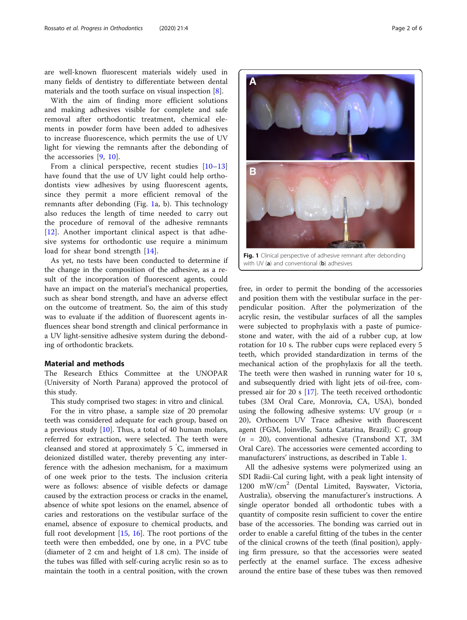are well-known fluorescent materials widely used in many fields of dentistry to differentiate between dental materials and the tooth surface on visual inspection [[8\]](#page-5-0).

With the aim of finding more efficient solutions and making adhesives visible for complete and safe removal after orthodontic treatment, chemical elements in powder form have been added to adhesives to increase fluorescence, which permits the use of UV light for viewing the remnants after the debonding of the accessories [[9,](#page-5-0) [10\]](#page-5-0).

From a clinical perspective, recent studies [\[10](#page-5-0)–[13](#page-5-0)] have found that the use of UV light could help orthodontists view adhesives by using fluorescent agents, since they permit a more efficient removal of the remnants after debonding (Fig. 1a, b). This technology also reduces the length of time needed to carry out the procedure of removal of the adhesive remnants [[12\]](#page-5-0). Another important clinical aspect is that adhesive systems for orthodontic use require a minimum load for shear bond strength [[14\]](#page-5-0).

As yet, no tests have been conducted to determine if the change in the composition of the adhesive, as a result of the incorporation of fluorescent agents, could have an impact on the material's mechanical properties, such as shear bond strength, and have an adverse effect on the outcome of treatment. So, the aim of this study was to evaluate if the addition of fluorescent agents influences shear bond strength and clinical performance in a UV light-sensitive adhesive system during the debonding of orthodontic brackets.

#### Material and methods

The Research Ethics Committee at the UNOPAR (University of North Parana) approved the protocol of this study.

This study comprised two stages: in vitro and clinical.

For the in vitro phase, a sample size of 20 premolar teeth was considered adequate for each group, based on a previous study [\[10](#page-5-0)]. Thus, a total of 40 human molars, referred for extraction, were selected. The teeth were cleansed and stored at approximately 5 ° C, immersed in deionized distilled water, thereby preventing any interference with the adhesion mechanism, for a maximum of one week prior to the tests. The inclusion criteria were as follows: absence of visible defects or damage caused by the extraction process or cracks in the enamel, absence of white spot lesions on the enamel, absence of caries and restorations on the vestibular surface of the enamel, absence of exposure to chemical products, and full root development [[15](#page-5-0), [16\]](#page-5-0). The root portions of the teeth were then embedded, one by one, in a PVC tube (diameter of 2 cm and height of 1.8 cm). The inside of the tubes was filled with self-curing acrylic resin so as to maintain the tooth in a central position, with the crown



Fig. 1 Clinical perspective of adhesive remnant after debonding with UV  $(a)$  and conventional  $(b)$  adhesives

free, in order to permit the bonding of the accessories and position them with the vestibular surface in the perpendicular position. After the polymerization of the acrylic resin, the vestibular surfaces of all the samples were subjected to prophylaxis with a paste of pumicestone and water, with the aid of a rubber cup, at low rotation for 10 s. The rubber cups were replaced every 5 teeth, which provided standardization in terms of the mechanical action of the prophylaxis for all the teeth. The teeth were then washed in running water for 10 s, and subsequently dried with light jets of oil-free, compressed air for 20 s [\[17](#page-5-0)]. The teeth received orthodontic tubes (3M Oral Care, Monrovia, CA, USA), bonded using the following adhesive systems: UV group  $(n =$ 20), Orthocem UV Trace adhesive with fluorescent agent (FGM, Joinville, Santa Catarina, Brazil); C group  $(n = 20)$ , conventional adhesive (Transbond XT, 3M) Oral Care). The accessories were cemented according to manufacturers' instructions, as described in Table [1.](#page-2-0)

All the adhesive systems were polymerized using an SDI Radii-Cal curing light, with a peak light intensity of 1200 mW/cm<sup>2</sup> (Dental Limited, Bayswater, Victoria, Australia), observing the manufacturer's instructions. A single operator bonded all orthodontic tubes with a quantity of composite resin sufficient to cover the entire base of the accessories. The bonding was carried out in order to enable a careful fitting of the tubes in the center of the clinical crowns of the teeth (final position), applying firm pressure, so that the accessories were seated perfectly at the enamel surface. The excess adhesive around the entire base of these tubes was then removed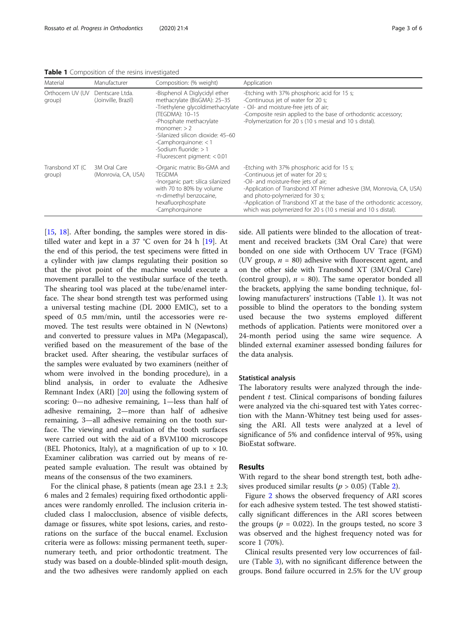<span id="page-2-0"></span>Table 1 Composition of the resins investigated

| Material                   | Manufacturer                           | Composition: (% weight)                                                                                                                                                                                                                                                                      | Application                                                                                                                                                                                                                                                                                                                                                                     |
|----------------------------|----------------------------------------|----------------------------------------------------------------------------------------------------------------------------------------------------------------------------------------------------------------------------------------------------------------------------------------------|---------------------------------------------------------------------------------------------------------------------------------------------------------------------------------------------------------------------------------------------------------------------------------------------------------------------------------------------------------------------------------|
| Orthocem UV (UV<br>group)  | Dentscare Ltda.<br>(Joinville, Brazil) | -Bisphenol A Diglycidyl ether<br>methacrylate (BisGMA): 25-35<br>-Triethylene glycoldimethacrylate<br>(TEGDMA): 10-15<br>-Phosphate methacrylate<br>monomer: $>$ 2<br>-Silanized silicon dioxide: 45-60<br>-Camphorquinone: $<$ 1<br>-Sodium fluoride: > 1<br>-Fluorescent pigment: $< 0.01$ | -Etching with 37% phosphoric acid for 15 s;<br>-Continuous jet of water for 20 s;<br>- Oil- and moisture-free jets of air;<br>-Composite resin applied to the base of orthodontic accessory;<br>-Polymerization for 20 s (10 s mesial and 10 s distal).                                                                                                                         |
| Transbond XT (C)<br>group) | 3M Oral Care<br>(Monrovia, CA, USA)    | -Organic matrix: Bis-GMA and<br><b>TEGDMA</b><br>-Inorganic part: silica silanized<br>with 70 to 80% by volume<br>-n-dimethyl benzocaine,<br>hexafluorphosphate<br>-Camphorguinone                                                                                                           | -Etching with 37% phosphoric acid for 15 s;<br>-Continuous jet of water for 20 s;<br>-Oil- and moisture-free jets of air;<br>-Application of Transbond XT Primer adhesive (3M, Monrovia, CA, USA)<br>and photo-polymerized for 30 s;<br>-Application of Transbond XT at the base of the orthodontic accessory,<br>which was polymerized for 20 s (10 s mesial and 10 s distal). |

[[15,](#page-5-0) [18](#page-5-0)]. After bonding, the samples were stored in distilled water and kept in a 37 °C oven for 24 h [\[19](#page-5-0)]. At the end of this period, the test specimens were fitted in a cylinder with jaw clamps regulating their position so that the pivot point of the machine would execute a movement parallel to the vestibular surface of the teeth. The shearing tool was placed at the tube/enamel interface. The shear bond strength test was performed using a universal testing machine (DL 2000 EMIC), set to a speed of 0.5 mm/min, until the accessories were removed. The test results were obtained in N (Newtons) and converted to pressure values in MPa (Megapascal), verified based on the measurement of the base of the bracket used. After shearing, the vestibular surfaces of the samples were evaluated by two examiners (neither of whom were involved in the bonding procedure), in a blind analysis, in order to evaluate the Adhesive Remnant Index (ARI) [[20](#page-5-0)] using the following system of scoring: 0—no adhesive remaining, 1—less than half of adhesive remaining, 2—more than half of adhesive remaining, 3—all adhesive remaining on the tooth surface. The viewing and evaluation of the tooth surfaces were carried out with the aid of a BVM100 microscope (BEL Photonics, Italy), at a magnification of up to  $\times$  10. Examiner calibration was carried out by means of repeated sample evaluation. The result was obtained by means of the consensus of the two examiners.

For the clinical phase, 8 patients (mean age  $23.1 \pm 2.3$ ; 6 males and 2 females) requiring fixed orthodontic appliances were randomly enrolled. The inclusion criteria included class I malocclusion, absence of visible defects, damage or fissures, white spot lesions, caries, and restorations on the surface of the buccal enamel. Exclusion criteria were as follows: missing permanent teeth, supernumerary teeth, and prior orthodontic treatment. The study was based on a double-blinded split-mouth design, and the two adhesives were randomly applied on each side. All patients were blinded to the allocation of treatment and received brackets (3M Oral Care) that were bonded on one side with Orthocem UV Trace (FGM) (UV group,  $n = 80$ ) adhesive with fluorescent agent, and on the other side with Transbond XT (3M/Oral Care) (control group),  $n = 80$ ). The same operator bonded all the brackets, applying the same bonding technique, following manufacturers' instructions (Table 1). It was not possible to blind the operators to the bonding system used because the two systems employed different methods of application. Patients were monitored over a 24-month period using the same wire sequence. A blinded external examiner assessed bonding failures for the data analysis.

#### Statistical analysis

The laboratory results were analyzed through the independent  $t$  test. Clinical comparisons of bonding failures were analyzed via the chi-squared test with Yates correction with the Mann-Whitney test being used for assessing the ARI. All tests were analyzed at a level of significance of 5% and confidence interval of 95%, using BioEstat software.

#### Results

With regard to the shear bond strength test, both adhesives produced similar results ( $p > 0.05$ ) (Table [2\)](#page-3-0).

Figure [2](#page-3-0) shows the observed frequency of ARI scores for each adhesive system tested. The test showed statistically significant differences in the ARI scores between the groups ( $p = 0.022$ ). In the groups tested, no score 3 was observed and the highest frequency noted was for score 1 (70%).

Clinical results presented very low occurrences of failure (Table [3\)](#page-4-0), with no significant difference between the groups. Bond failure occurred in 2.5% for the UV group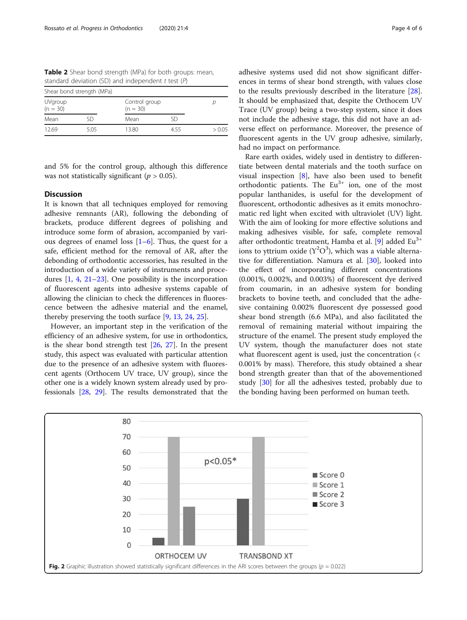<span id="page-3-0"></span>

| Shear bond strength (MPa) |      |                             |     |        |  |  |  |
|---------------------------|------|-----------------------------|-----|--------|--|--|--|
| UVgroup<br>$(n = 30)$     |      | Control group<br>$(n = 30)$ |     |        |  |  |  |
| Mean                      | SD   | Mean                        | ςn  |        |  |  |  |
| 12.69                     | 5.05 | 13.80                       | 455 | > 0.05 |  |  |  |

and 5% for the control group, although this difference was not statistically significant ( $p > 0.05$ ).

#### **Discussion**

It is known that all techniques employed for removing adhesive remnants (AR), following the debonding of brackets, produce different degrees of polishing and introduce some form of abrasion, accompanied by various degrees of enamel loss  $[1-6]$  $[1-6]$  $[1-6]$  $[1-6]$ . Thus, the quest for a safe, efficient method for the removal of AR, after the debonding of orthodontic accessories, has resulted in the introduction of a wide variety of instruments and procedures [[1,](#page-4-0) [4,](#page-5-0) [21](#page-5-0)–[23](#page-5-0)]. One possibility is the incorporation of fluorescent agents into adhesive systems capable of allowing the clinician to check the differences in fluorescence between the adhesive material and the enamel, thereby preserving the tooth surface [[9,](#page-5-0) [13,](#page-5-0) [24,](#page-5-0) [25\]](#page-5-0).

However, an important step in the verification of the efficiency of an adhesive system, for use in orthodontics, is the shear bond strength test  $[26, 27]$  $[26, 27]$  $[26, 27]$  $[26, 27]$ . In the present study, this aspect was evaluated with particular attention due to the presence of an adhesive system with fluorescent agents (Orthocem UV trace, UV group), since the other one is a widely known system already used by professionals [[28,](#page-5-0) [29\]](#page-5-0). The results demonstrated that the adhesive systems used did not show significant differences in terms of shear bond strength, with values close to the results previously described in the literature [\[28](#page-5-0)]. It should be emphasized that, despite the Orthocem UV Trace (UV group) being a two-step system, since it does not include the adhesive stage, this did not have an adverse effect on performance. Moreover, the presence of fluorescent agents in the UV group adhesive, similarly, had no impact on performance.

Rare earth oxides, widely used in dentistry to differentiate between dental materials and the tooth surface on visual inspection [[8\]](#page-5-0), have also been used to benefit orthodontic patients. The  $Eu^{3+}$  ion, one of the most popular lanthanides, is useful for the development of fluorescent, orthodontic adhesives as it emits monochromatic red light when excited with ultraviolet (UV) light. With the aim of looking for more effective solutions and making adhesives visible, for safe, complete removal after orthodontic treatment, Hamba et al. [\[9](#page-5-0)] added  $Eu^{3+}$ ions to yttrium oxide  $(Y^2O^3)$ , which was a viable alternative for differentiation. Namura et al. [[30\]](#page-5-0), looked into the effect of incorporating different concentrations (0.001%, 0.002%, and 0.003%) of fluorescent dye derived from coumarin, in an adhesive system for bonding brackets to bovine teeth, and concluded that the adhesive containing 0.002% fluorescent dye possessed good shear bond strength (6.6 MPa), and also facilitated the removal of remaining material without impairing the structure of the enamel. The present study employed the UV system, though the manufacturer does not state what fluorescent agent is used, just the concentration (< 0.001% by mass). Therefore, this study obtained a shear bond strength greater than that of the abovementioned study [\[30\]](#page-5-0) for all the adhesives tested, probably due to the bonding having been performed on human teeth.

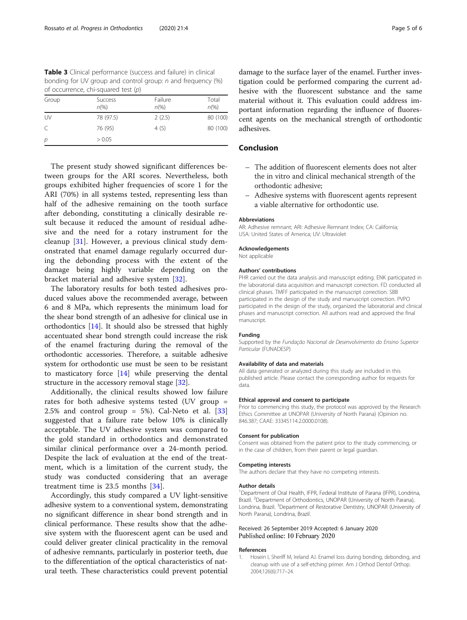<span id="page-4-0"></span>Table 3 Clinical performance (success and failure) in clinical bonding for UV group and control group: n and frequency (%) of occurrence, chi-squared test (p)

| Group | <b>Success</b><br>$n\frac{9}{6}$ | Failure<br>$n\frac{9}{6}$ | Total<br>$n\frac{9}{6}$ |
|-------|----------------------------------|---------------------------|-------------------------|
| UV    | 78 (97.5)                        | 2(2.5)                    | 80 (100)                |
| C     | 76 (95)                          | 4(5)                      | 80 (100)                |
| р     | > 0.05                           |                           |                         |

The present study showed significant differences between groups for the ARI scores. Nevertheless, both groups exhibited higher frequencies of score 1 for the ARI (70%) in all systems tested, representing less than half of the adhesive remaining on the tooth surface after debonding, constituting a clinically desirable result because it reduced the amount of residual adhesive and the need for a rotary instrument for the cleanup [[31\]](#page-5-0). However, a previous clinical study demonstrated that enamel damage regularly occurred during the debonding process with the extent of the damage being highly variable depending on the bracket material and adhesive system [\[32](#page-5-0)].

The laboratory results for both tested adhesives produced values above the recommended average, between 6 and 8 MPa, which represents the minimum load for the shear bond strength of an adhesive for clinical use in orthodontics [[14\]](#page-5-0). It should also be stressed that highly accentuated shear bond strength could increase the risk of the enamel fracturing during the removal of the orthodontic accessories. Therefore, a suitable adhesive system for orthodontic use must be seen to be resistant to masticatory force  $[14]$  $[14]$  while preserving the dental structure in the accessory removal stage [[32\]](#page-5-0).

Additionally, the clinical results showed low failure rates for both adhesive systems tested (UV group = 2.5% and control group = 5%). Cal-Neto et al.  $[33]$  $[33]$ suggested that a failure rate below 10% is clinically acceptable. The UV adhesive system was compared to the gold standard in orthodontics and demonstrated similar clinical performance over a 24-month period. Despite the lack of evaluation at the end of the treatment, which is a limitation of the current study, the study was conducted considering that an average treatment time is 23.5 months [\[34](#page-5-0)].

Accordingly, this study compared a UV light-sensitive adhesive system to a conventional system, demonstrating no significant difference in shear bond strength and in clinical performance. These results show that the adhesive system with the fluorescent agent can be used and could deliver greater clinical practicality in the removal of adhesive remnants, particularly in posterior teeth, due to the differentiation of the optical characteristics of natural teeth. These characteristics could prevent potential damage to the surface layer of the enamel. Further investigation could be performed comparing the current adhesive with the fluorescent substance and the same material without it. This evaluation could address important information regarding the influence of fluorescent agents on the mechanical strength of orthodontic adhesives.

## Conclusion

- The addition of fluorescent elements does not alter the in vitro and clinical mechanical strength of the orthodontic adhesive;
- Adhesive systems with fluorescent agents represent a viable alternative for orthodontic use.

#### Abbreviations

AR: Adhesive remnant; ARI: Adhesive Remnant Index; CA: California; USA: United States of America; UV: Ultraviolet

#### Acknowledgements

Not applicable

#### Authors' contributions

PHR carried out the data analysis and manuscript editing. ENK participated in the laboratorial data acquisition and manuscript correction. FD conducted all clinical phases. TMFF participated in the manuscript correction. SBB participated in the design of the study and manuscript correction. PVPO participated in the design of the study, organized the laboratorial and clinical phases and manuscript correction. All authors read and approved the final manuscript.

#### Funding

Supported by the Fundação Nacional de Desenvolvimento do Ensino Superior Particular (FUNADESP)

#### Availability of data and materials

All data generated or analyzed during this study are included in this published article. Please contact the corresponding author for requests for data.

#### Ethical approval and consent to participate

Prior to commencing this study, the protocol was approved by the Research Ethics Committee at UNOPAR (University of North Parana) (Opinion no. 846.387; CAAE: 33345114.2.0000.0108).

#### Consent for publication

Consent was obtained from the patient prior to the study commencing, or in the case of children, from their parent or legal guardian.

#### Competing interests

The authors declare that they have no competing interests.

#### Author details

<sup>1</sup>Department of Oral Health, IFPR, Federal Institute of Parana (IFPR), Londrina, Brazil. <sup>2</sup>Department of Orthodontics, UNOPAR (University of North Parana) Londrina, Brazil. <sup>3</sup>Department of Restorative Dentistry, UNOPAR (University of North Parana), Londrina, Brazil.

#### Received: 26 September 2019 Accepted: 6 January 2020 Published online: 10 February 2020

#### References

Hosein I, Sheriff M, Ireland AJ. Enamel loss during bonding, debonding, and cleanup with use of a self-etching primer. Am J Orthod Dentof Orthop. 2004;126(6):717–24.